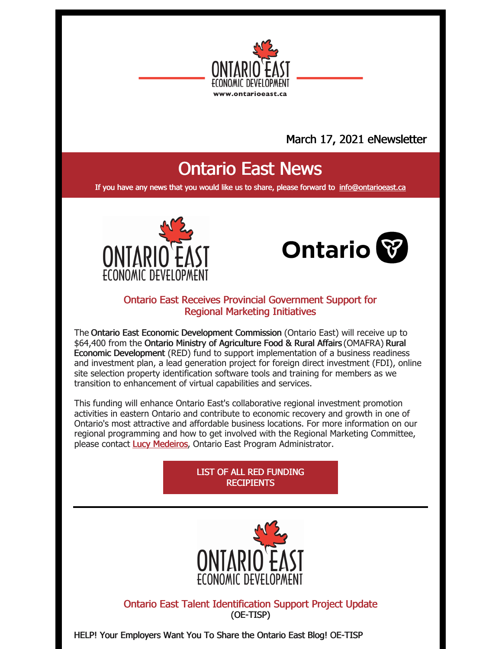

## March 17, 2021 eNewsletter

# Ontario East News

If you have any news that you would like us to share, please forward to [info@ontarioeast.ca](mailto:info@ontarioeast.ca)





#### Ontario East Receives Provincial Government Support for Regional Marketing Initiatives

The Ontario East Economic Development Commission (Ontario East) will receive up to \$64,400 from the Ontario Ministry of Agriculture Food & Rural Affairs (OMAFRA) Rural Economic Development (RED) fund to support implementation of a business readiness and investment plan, a lead generation project for foreign direct investment (FDI), online site selection property identification software tools and training for members as we transition to enhancement of virtual capabilities and services.

This funding will enhance Ontario East's collaborative regional investment promotion activities in eastern Ontario and contribute to economic recovery and growth in one of Ontario's most attractive and affordable business locations. For more information on our regional programming and how to get involved with the Regional Marketing Committee, please contact Lucy [Medeiros](mailto:lucy@ontarioeast.ca), Ontario East Program Administrator.

#### LIST OF ALL RED FUNDING **[RECIPIENTS](http://www.omafra.gov.on.ca/english/rural/ruralfunding/red-projects.htm)**



Ontario East Talent Identification Support Project Update (OE-TISP)

HELP! Your Employers Want You To Share the Ontario East Blog! OE-TISP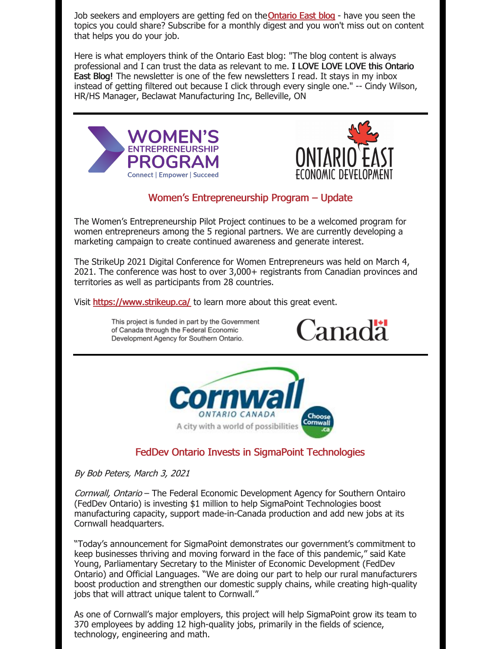Job seekers and employers are getting fed on the **Ontario East blog** - have you seen the topics you could share? Subscribe for a monthly digest and you won't miss out on content that helps you do your job.

Here is what employers think of the Ontario East blog: "The blog content is always professional and I can trust the data as relevant to me. I LOVE LOVE LOVE this Ontario East Blog! The newsletter is one of the few newsletters I read. It stays in my inbox instead of getting filtered out because I click through every single one." -- Cindy Wilson, HR/HS Manager, Beclawat Manufacturing Inc, Belleville, ON





#### Women's Entrepreneurship Program – Update

The Women's Entrepreneurship Pilot Project continues to be a welcomed program for women entrepreneurs among the 5 regional partners. We are currently developing a marketing campaign to create continued awareness and generate interest.

The StrikeUp 2021 Digital Conference for Women Entrepreneurs was held on March 4, 2021. The conference was host to over 3,000+ registrants from Canadian provinces and territories as well as participants from 28 countries.

Visit <https://www.strikeup.ca/> to learn more about this great event.



By Bob Peters, March 3, 2021

Cornwall, Ontario – The Federal Economic Development Agency for Southern Ontairo (FedDev Ontario) is investing \$1 million to help SigmaPoint Technologies boost manufacturing capacity, support made-in-Canada production and add new jobs at its Cornwall headquarters.

"Today's announcement for SigmaPoint demonstrates our government's commitment to keep businesses thriving and moving forward in the face of this pandemic," said Kate Young, Parliamentary Secretary to the Minister of Economic Development (FedDev Ontario) and Official Languages. "We are doing our part to help our rural manufacturers boost production and strengthen our domestic supply chains, while creating high-quality jobs that will attract unique talent to Cornwall."

As one of Cornwall's major employers, this project will help SigmaPoint grow its team to 370 employees by adding 12 high-quality jobs, primarily in the fields of science, technology, engineering and math.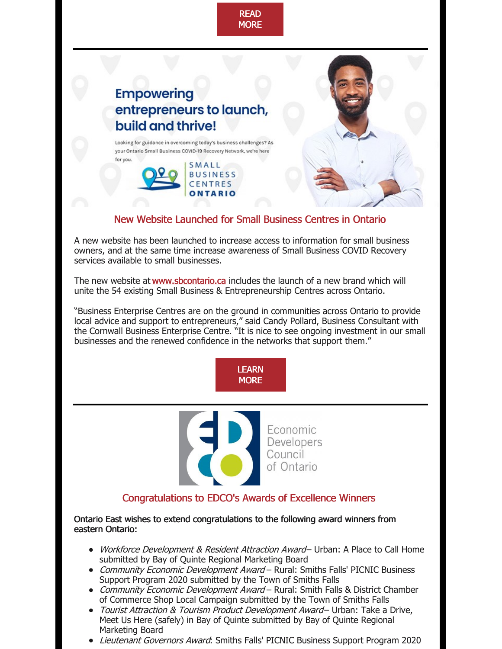

### New Website Launched for Small Business Centres in Ontario

A new website has been launched to increase access to information for small business owners, and at the same time increase awareness of Small Business COVID Recovery services available to small businesses.

ONTARIO

The new website at [www.sbcontario.ca](https://sbcontario.ca/) includes the launch of a new brand which will unite the 54 existing Small Business & Entrepreneurship Centres across Ontario.

"Business Enterprise Centres are on the ground in communities across Ontario to provide local advice and support to entrepreneurs," said Candy Pollard, Business Consultant with the Cornwall Business Enterprise Centre. "It is nice to see ongoing investment in our small businesses and the renewed confidence in the networks that support them."



Economic Developers Council of Ontario

#### Congratulations to EDCO's Awards of Excellence Winners

Ontario East wishes to extend congratulations to the following award winners from eastern Ontario:

- Workforce Development & Resident Attraction Award- Urban: A Place to Call Home submitted by Bay of Quinte Regional Marketing Board
- Community Economic Development Award Rural: Smiths Falls' PICNIC Business Support Program 2020 submitted by the Town of Smiths Falls
- Community Economic Development Award Rural: Smith Falls & District Chamber of Commerce Shop Local Campaign submitted by the Town of Smiths Falls
- Tourist Attraction & Tourism Product Development Award- Urban: Take a Drive, Meet Us Here (safely) in Bay of Quinte submitted by Bay of Quinte Regional Marketing Board
- Lieutenant Governors Award: Smiths Falls' PICNIC Business Support Program 2020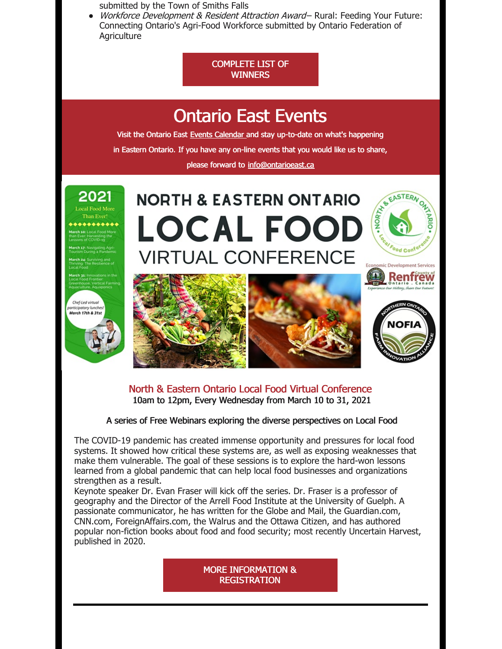submitted by the Town of Smiths Falls

• Workforce Development & Resident Attraction Award- Rural: Feeding Your Future: Connecting Ontario's Agri-Food Workforce submitted by Ontario Federation of **Agriculture** 

#### [COMPLETE](https://edco.on.ca/Awards-of-Excellence) LIST OF **WINNERS**



North & Eastern Ontario Local Food Virtual Conference 10am to 12pm, Every Wednesday from March 10 to 31, 2021

#### A series of Free Webinars exploring the diverse perspectives on Local Food

The COVID-19 pandemic has created immense opportunity and pressures for local food systems. It showed how critical these systems are, as well as exposing weaknesses that make them vulnerable. The goal of these sessions is to explore the hard-won lessons learned from a global pandemic that can help local food businesses and organizations strengthen as a result.

Keynote speaker Dr. Evan Fraser will kick off the series. Dr. Fraser is a professor of geography and the Director of the Arrell Food Institute at the University of Guelph. A passionate communicator, he has written for the Globe and Mail, the Guardian.com, CNN.com, ForeignAffairs.com, the Walrus and the Ottawa Citizen, and has authored popular non-fiction books about food and food security; most recently Uncertain Harvest, published in 2020.

> MORE INFORMATION & **[REGISTRATION](https://ontarioeast.ca/events/north-eastern-ontario-local-food-virtual-conference)**